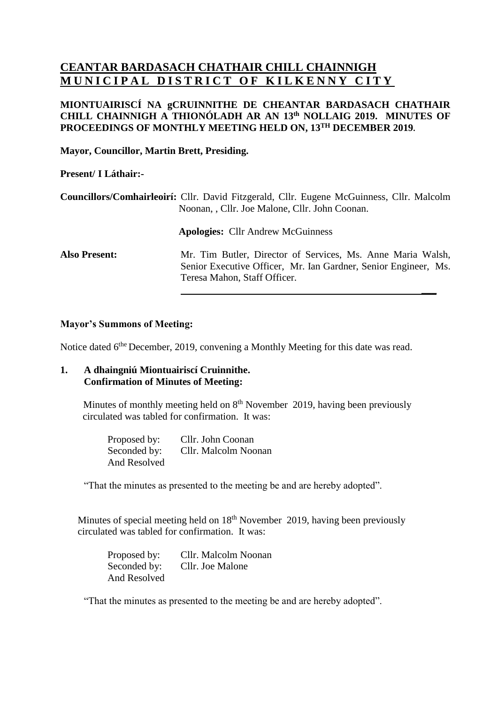# **CEANTAR BARDASACH CHATHAIR CHILL CHAINNIGH MUNICIPAL DISTRICT OF KILKENNY CITY**

## **MIONTUAIRISCÍ NA gCRUINNITHE DE CHEANTAR BARDASACH CHATHAIR CHILL CHAINNIGH A THIONÓLADH AR AN 13 th NOLLAIG 2019. MINUTES OF PROCEEDINGS OF MONTHLY MEETING HELD ON, 13TH DECEMBER 2019.**

**Mayor, Councillor, Martin Brett, Presiding.**

#### **Present/ I Láthair:-**

|                      | Councillors/Comhairleoirí: Cllr. David Fitzgerald, Cllr. Eugene McGuinness, Cllr. Malcolm<br>Noonan, Cllr. Joe Malone, Cllr. John Coonan.                      |
|----------------------|----------------------------------------------------------------------------------------------------------------------------------------------------------------|
|                      | <b>Apologies:</b> Cllr Andrew McGuinness                                                                                                                       |
| <b>Also Present:</b> | Mr. Tim Butler, Director of Services, Ms. Anne Maria Walsh,<br>Senior Executive Officer, Mr. Ian Gardner, Senior Engineer, Ms.<br>Teresa Mahon, Staff Officer. |

**\_\_\_**

#### **Mayor's Summons of Meeting:**

Notice dated 6<sup>the</sup> December, 2019, convening a Monthly Meeting for this date was read.

#### **1. A dhaingniú Miontuairiscí Cruinnithe. Confirmation of Minutes of Meeting:**

Minutes of monthly meeting held on 8<sup>th</sup> November 2019, having been previously circulated was tabled for confirmation. It was:

> Proposed by: Cllr. John Coonan Seconded by: Cllr. Malcolm Noonan And Resolved

"That the minutes as presented to the meeting be and are hereby adopted".

Minutes of special meeting held on 18th November 2019, having been previously circulated was tabled for confirmation. It was:

Proposed by: Cllr. Malcolm Noonan Seconded by: Cllr. Joe Malone And Resolved

"That the minutes as presented to the meeting be and are hereby adopted".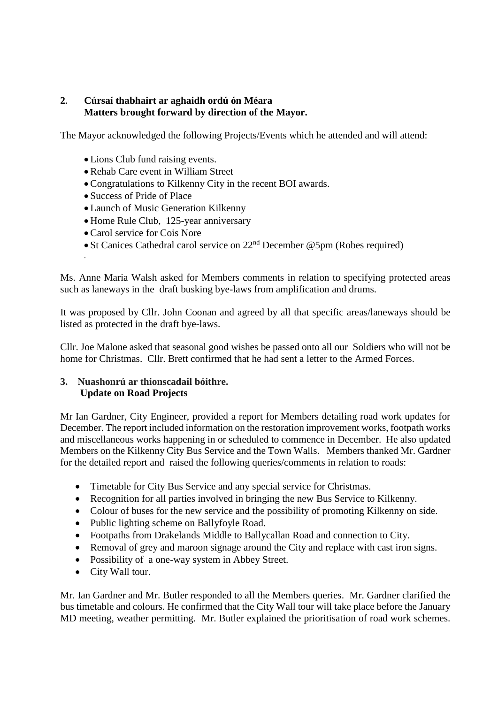# **2. Cúrsaí thabhairt ar aghaidh ordú ón Méara Matters brought forward by direction of the Mayor.**

The Mayor acknowledged the following Projects/Events which he attended and will attend:

- Lions Club fund raising events.
- Rehab Care event in William Street
- Congratulations to Kilkenny City in the recent BOI awards.
- Success of Pride of Place
- Launch of Music Generation Kilkenny
- Home Rule Club, 125-year anniversary
- Carol service for Cois Nore

.

• St Canices Cathedral carol service on 22<sup>nd</sup> December @5pm (Robes required)

Ms. Anne Maria Walsh asked for Members comments in relation to specifying protected areas such as laneways in the draft busking bye-laws from amplification and drums.

It was proposed by Cllr. John Coonan and agreed by all that specific areas/laneways should be listed as protected in the draft bye-laws.

Cllr. Joe Malone asked that seasonal good wishes be passed onto all our Soldiers who will not be home for Christmas. Cllr. Brett confirmed that he had sent a letter to the Armed Forces.

# **3. Nuashonrú ar thionscadail bóithre. Update on Road Projects**

Mr Ian Gardner, City Engineer, provided a report for Members detailing road work updates for December. The report included information on the restoration improvement works, footpath works and miscellaneous works happening in or scheduled to commence in December. He also updated Members on the Kilkenny City Bus Service and the Town Walls. Members thanked Mr. Gardner for the detailed report and raised the following queries/comments in relation to roads:

- Timetable for City Bus Service and any special service for Christmas.
- Recognition for all parties involved in bringing the new Bus Service to Kilkenny.
- Colour of buses for the new service and the possibility of promoting Kilkenny on side.
- Public lighting scheme on Ballyfoyle Road.
- Footpaths from Drakelands Middle to Ballycallan Road and connection to City.
- Removal of grey and maroon signage around the City and replace with cast iron signs.
- Possibility of a one-way system in Abbey Street.
- City Wall tour.

Mr. Ian Gardner and Mr. Butler responded to all the Members queries. Mr. Gardner clarified the bus timetable and colours. He confirmed that the City Wall tour will take place before the January MD meeting, weather permitting. Mr. Butler explained the prioritisation of road work schemes.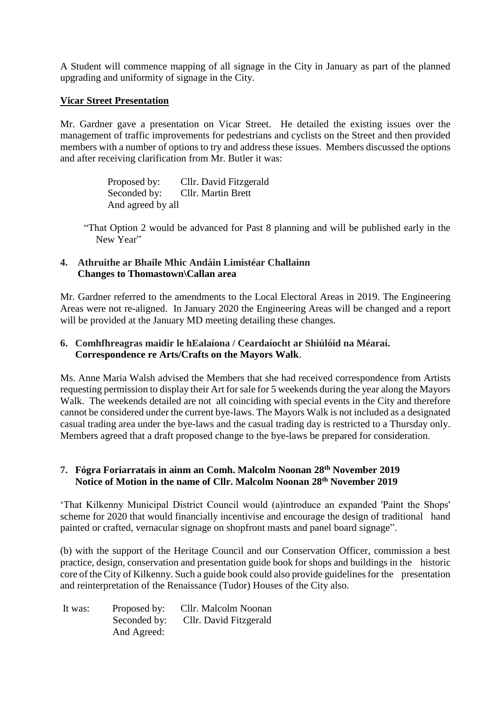A Student will commence mapping of all signage in the City in January as part of the planned upgrading and uniformity of signage in the City.

## **Vicar Street Presentation**

Mr. Gardner gave a presentation on Vicar Street. He detailed the existing issues over the management of traffic improvements for pedestrians and cyclists on the Street and then provided members with a number of options to try and address these issues. Members discussed the options and after receiving clarification from Mr. Butler it was:

> Proposed by: Cllr. David Fitzgerald Seconded by: Cllr. Martin Brett And agreed by all

"That Option 2 would be advanced for Past 8 planning and will be published early in the New Year"

#### **4. Athruithe ar Bhaile Mhic Andáin Limistéar Challainn Changes to Thomastown\Callan area**

Mr. Gardner referred to the amendments to the Local Electoral Areas in 2019. The Engineering Areas were not re-aligned. In January 2020 the Engineering Areas will be changed and a report will be provided at the January MD meeting detailing these changes.

#### **6. Comhfhreagras maidir le hEalaíona / Ceardaíocht ar Shiúlóid na Méaraí. Correspondence re Arts/Crafts on the Mayors Walk**.

Ms. Anne Maria Walsh advised the Members that she had received correspondence from Artists requesting permission to display their Art for sale for 5 weekends during the year along the Mayors Walk. The weekends detailed are not all coinciding with special events in the City and therefore cannot be considered under the current bye-laws. The Mayors Walk is not included as a designated casual trading area under the bye-laws and the casual trading day is restricted to a Thursday only. Members agreed that a draft proposed change to the bye-laws be prepared for consideration.

# **7. Fógra Foriarratais in ainm an Comh. Malcolm Noonan 28th November 2019 Notice of Motion in the name of Cllr. Malcolm Noonan 28th November 2019**

'That Kilkenny Municipal District Council would (a)introduce an expanded 'Paint the Shops' scheme for 2020 that would financially incentivise and encourage the design of traditional hand painted or crafted, vernacular signage on shopfront masts and panel board signage".

(b) with the support of the Heritage Council and our Conservation Officer, commission a best practice, design, conservation and presentation guide book for shops and buildings in the historic core of the City of Kilkenny. Such a guide book could also provide guidelines for the presentation and reinterpretation of the Renaissance (Tudor) Houses of the City also.

| It was: | Proposed by: | Cllr. Malcolm Noonan   |
|---------|--------------|------------------------|
|         | Seconded by: | Cllr. David Fitzgerald |
|         | And Agreed:  |                        |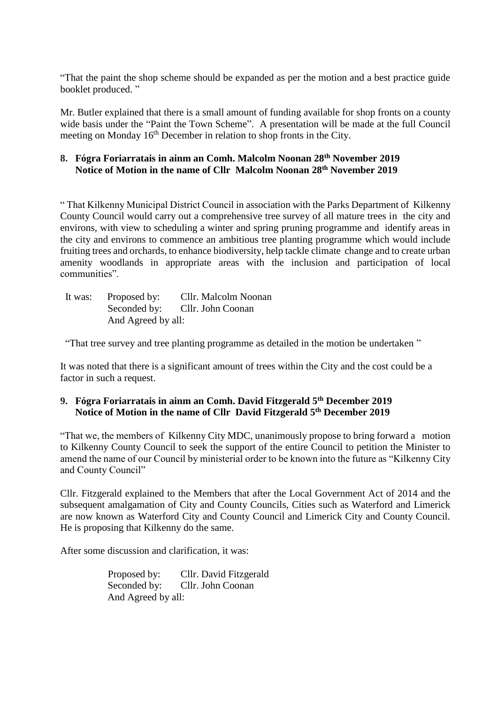"That the paint the shop scheme should be expanded as per the motion and a best practice guide booklet produced."

Mr. Butler explained that there is a small amount of funding available for shop fronts on a county wide basis under the "Paint the Town Scheme". A presentation will be made at the full Council meeting on Monday 16<sup>th</sup> December in relation to shop fronts in the City.

# **8. Fógra Foriarratais in ainm an Comh. Malcolm Noonan 28th November 2019 Notice of Motion in the name of Cllr Malcolm Noonan 28th November 2019**

" That Kilkenny Municipal District Council in association with the Parks Department of Kilkenny County Council would carry out a comprehensive tree survey of all mature trees in the city and environs, with view to scheduling a winter and spring pruning programme and identify areas in the city and environs to commence an ambitious tree planting programme which would include fruiting trees and orchards, to enhance biodiversity, help tackle climate change and to create urban amenity woodlands in appropriate areas with the inclusion and participation of local communities".

| It was: | Proposed by:       | Cllr. Malcolm Noonan           |
|---------|--------------------|--------------------------------|
|         |                    | Seconded by: Cllr. John Coonan |
|         | And Agreed by all: |                                |

"That tree survey and tree planting programme as detailed in the motion be undertaken "

It was noted that there is a significant amount of trees within the City and the cost could be a factor in such a request.

#### **9. Fógra Foriarratais in ainm an Comh. David Fitzgerald 5th December 2019 Notice of Motion in the name of Cllr David Fitzgerald 5th December 2019**

"That we, the members of Kilkenny City MDC, unanimously propose to bring forward a motion to Kilkenny County Council to seek the support of the entire Council to petition the Minister to amend the name of our Council by ministerial order to be known into the future as "Kilkenny City and County Council"

Cllr. Fitzgerald explained to the Members that after the Local Government Act of 2014 and the subsequent amalgamation of City and County Councils, Cities such as Waterford and Limerick are now known as Waterford City and County Council and Limerick City and County Council. He is proposing that Kilkenny do the same.

After some discussion and clarification, it was:

Proposed by: Cllr. David Fitzgerald<br>Seconded by: Cllr. John Coonan Cllr. John Coonan And Agreed by all: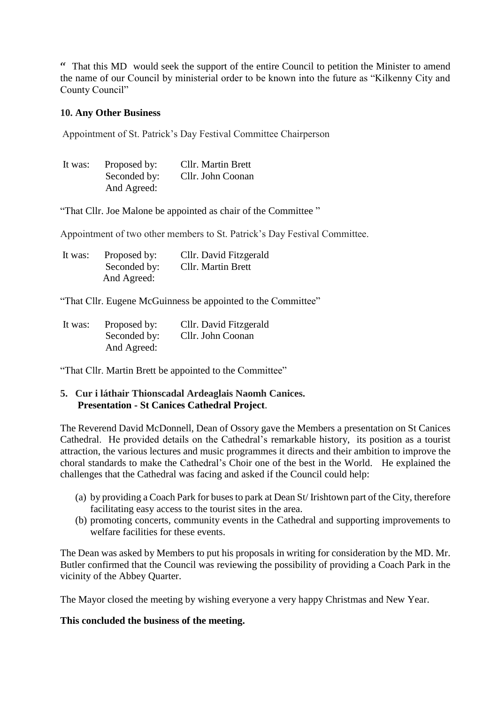" That this MD would seek the support of the entire Council to petition the Minister to amend the name of our Council by ministerial order to be known into the future as "Kilkenny City and County Council"

#### **10. Any Other Business**

Appointment of St. Patrick's Day Festival Committee Chairperson

| It was: | Proposed by: | <b>Cllr.</b> Martin Brett |
|---------|--------------|---------------------------|
|         | Seconded by: | Cllr. John Coonan         |
|         | And Agreed:  |                           |

"That Cllr. Joe Malone be appointed as chair of the Committee "

Appointment of two other members to St. Patrick's Day Festival Committee.

| It was: | Proposed by: | Cllr. David Fitzgerald |
|---------|--------------|------------------------|
|         | Seconded by: | Cllr. Martin Brett     |
|         | And Agreed:  |                        |

"That Cllr. Eugene McGuinness be appointed to the Committee"

| It was: | Proposed by: | Cllr. David Fitzgerald |
|---------|--------------|------------------------|
|         | Seconded by: | Cllr. John Coonan      |
|         | And Agreed:  |                        |

"That Cllr. Martin Brett be appointed to the Committee"

# **5. Cur i láthair Thionscadal Ardeaglais Naomh Canices. Presentation - St Canices Cathedral Project**.

The Reverend David McDonnell, Dean of Ossory gave the Members a presentation on St Canices Cathedral. He provided details on the Cathedral's remarkable history, its position as a tourist attraction, the various lectures and music programmes it directs and their ambition to improve the choral standards to make the Cathedral's Choir one of the best in the World. He explained the challenges that the Cathedral was facing and asked if the Council could help:

- (a) by providing a Coach Park for buses to park at Dean St/ Irishtown part of the City, therefore facilitating easy access to the tourist sites in the area.
- (b) promoting concerts, community events in the Cathedral and supporting improvements to welfare facilities for these events.

The Dean was asked by Members to put his proposals in writing for consideration by the MD. Mr. Butler confirmed that the Council was reviewing the possibility of providing a Coach Park in the vicinity of the Abbey Quarter.

The Mayor closed the meeting by wishing everyone a very happy Christmas and New Year.

#### **This concluded the business of the meeting.**